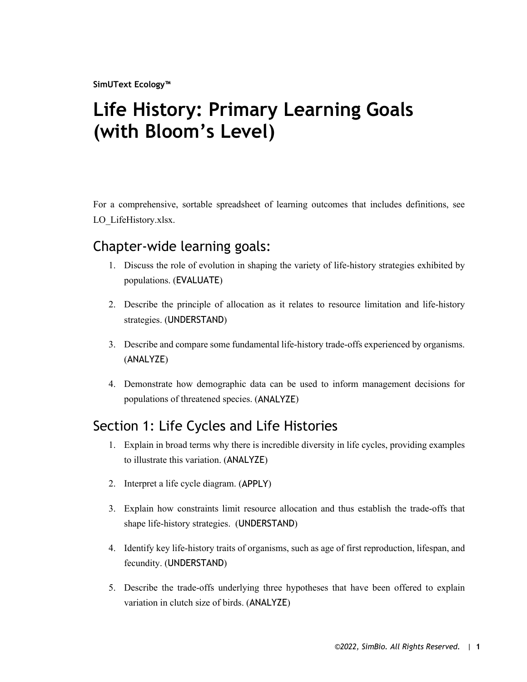**SimUText Ecology™**

# **Life History: Primary Learning Goals (with Bloom's Level)**

For a comprehensive, sortable spreadsheet of learning outcomes that includes definitions, see LO LifeHistory.xlsx.

#### Chapter-wide learning goals:

- 1. Discuss the role of evolution in shaping the variety of life-history strategies exhibited by populations. (EVALUATE)
- 2. Describe the principle of allocation as it relates to resource limitation and life-history strategies. (UNDERSTAND)
- 3. Describe and compare some fundamental life-history trade-offs experienced by organisms. (ANALYZE)
- 4. Demonstrate how demographic data can be used to inform management decisions for populations of threatened species. (ANALYZE)

# Section 1: Life Cycles and Life Histories

- 1. Explain in broad terms why there is incredible diversity in life cycles, providing examples to illustrate this variation. (ANALYZE)
- 2. Interpret a life cycle diagram. (APPLY)
- 3. Explain how constraints limit resource allocation and thus establish the trade-offs that shape life-history strategies. (UNDERSTAND)
- 4. Identify key life-history traits of organisms, such as age of first reproduction, lifespan, and fecundity. (UNDERSTAND)
- 5. Describe the trade-offs underlying three hypotheses that have been offered to explain variation in clutch size of birds. (ANALYZE)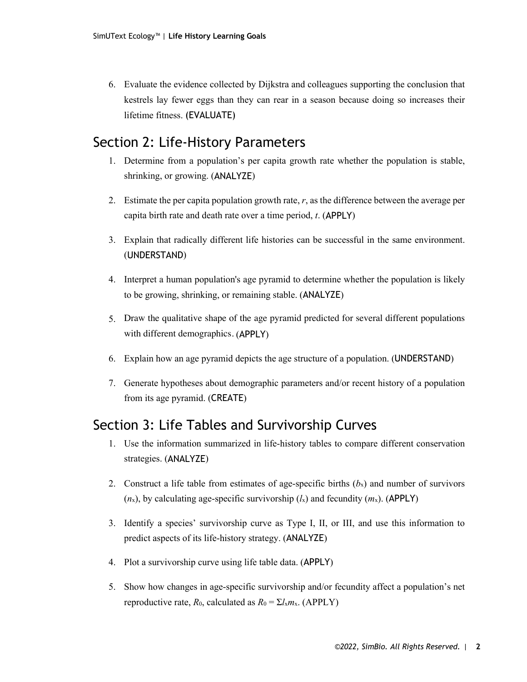6. Evaluate the evidence collected by Dijkstra and colleagues supporting the conclusion that kestrels lay fewer eggs than they can rear in a season because doing so increases their lifetime fitness. (EVALUATE)

### Section 2: Life-History Parameters

- 1. Determine from a population's per capita growth rate whether the population is stable, shrinking, or growing. (ANALYZE)
- 2. Estimate the per capita population growth rate, *r*, as the difference between the average per capita birth rate and death rate over a time period, *t*. (APPLY)
- 3. Explain that radically different life histories can be successful in the same environment. (UNDERSTAND)
- 4. Interpret a human population's age pyramid to determine whether the population is likely to be growing, shrinking, or remaining stable. (ANALYZE)
- 5. Draw the qualitative shape of the age pyramid predicted for several different populations with different demographics. (APPLY)
- 6. Explain how an age pyramid depicts the age structure of a population. (UNDERSTAND)
- 7. Generate hypotheses about demographic parameters and/or recent history of a population from its age pyramid. (CREATE)

# Section 3: Life Tables and Survivorship Curves

- 1. Use the information summarized in life-history tables to compare different conservation strategies. (ANALYZE)
- 2. Construct a life table from estimates of age-specific births  $(b_x)$  and number of survivors  $(n_x)$ , by calculating age-specific survivorship  $(l_x)$  and fecundity  $(m_x)$ . (APPLY)
- 3. Identify a species' survivorship curve as Type I, II, or III, and use this information to predict aspects of its life-history strategy. (ANALYZE)
- 4. Plot a survivorship curve using life table data. (APPLY)
- 5. Show how changes in age-specific survivorship and/or fecundity affect a population's net reproductive rate,  $R_0$ , calculated as  $R_0 = \Sigma l_x m_x$ . (APPLY)